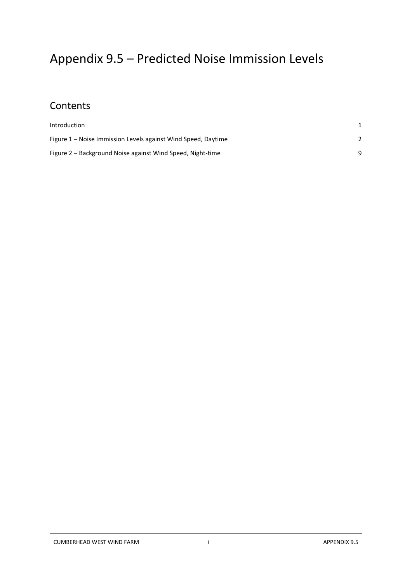# Appendix 9.5 – Predicted Noise Immission Levels

### Contents

| Introduction                                                  |   |
|---------------------------------------------------------------|---|
| Figure 1 – Noise Immission Levels against Wind Speed, Daytime | ∽ |
| Figure 2 – Background Noise against Wind Speed, Night-time    |   |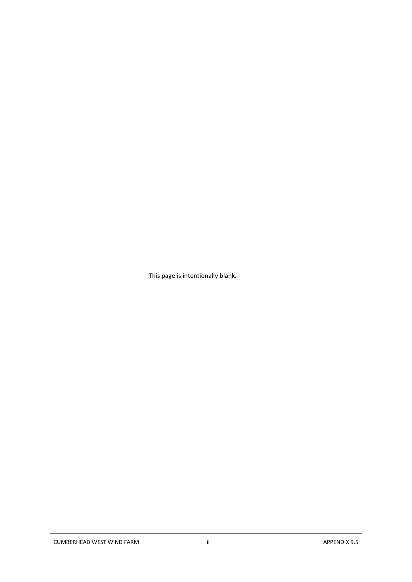This page is intentionally blank.

#### CUMBERHEAD WEST WIND FARM ii ii ali ali ali appendix 9.5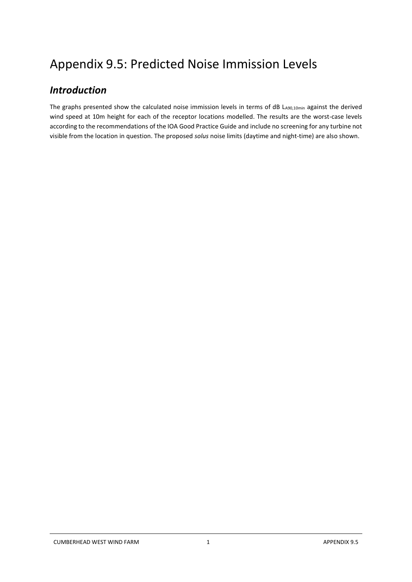# Appendix 9.5: Predicted Noise Immission Levels

#### <span id="page-2-0"></span>*Introduction*

<span id="page-2-1"></span>The graphs presented show the calculated noise immission levels in terms of dB LA90,10min against the derived wind speed at 10m height for each of the receptor locations modelled. The results are the worst-case levels according to the recommendations of the IOA Good Practice Guide and include no screening for any turbine not visible from the location in question. The proposed *solus* noise limits (daytime and night-time) are also shown.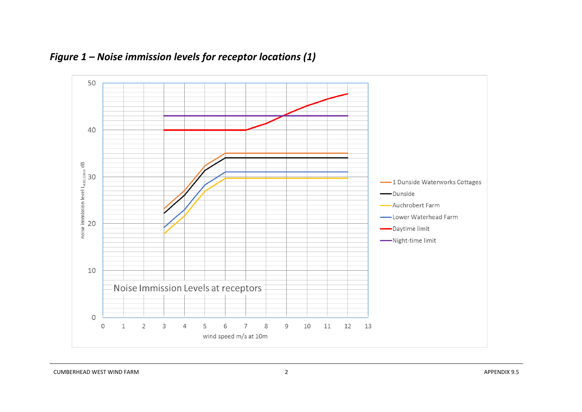

*Figure 1 – Noise immission levels for receptor locations (1)*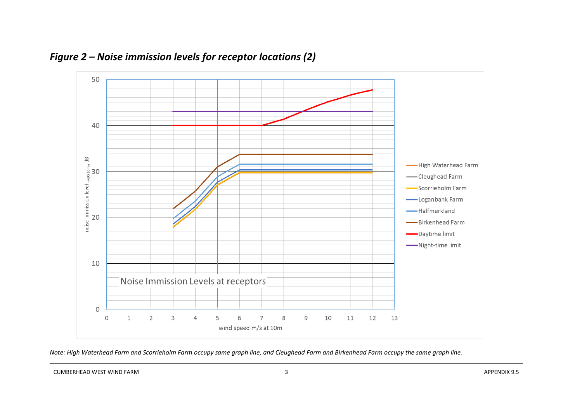

*Figure 2 – Noise immission levels for receptor locations (2)*

<span id="page-4-0"></span>*Note: High Waterhead Farm and Scorrieholm Farm occupy same graph line, and Cleughead Farm and Birkenhead Farm occupy the same graph line.*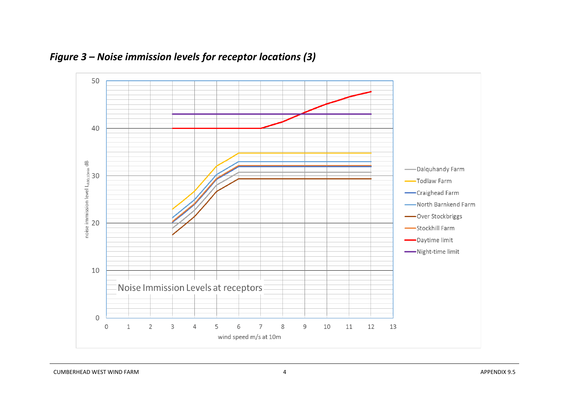

## *Figure 3 – Noise immission levels for receptor locations (3)*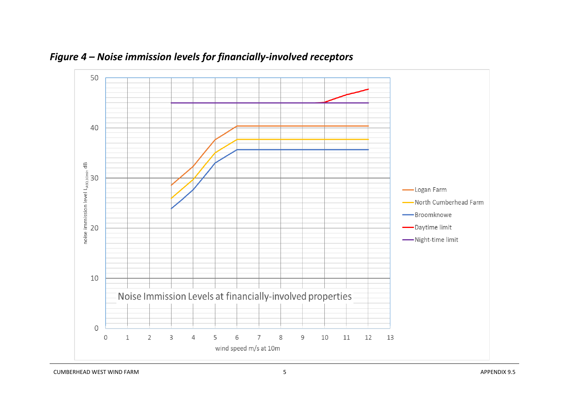

### *Figure 4 – Noise immission levels for financially-involved receptors*

CUMBERHEAD WEST WIND FARM **FARM ALL AND SHOW ASSESSED ASSESSED ASSESSED A** APPENDIX 9.5